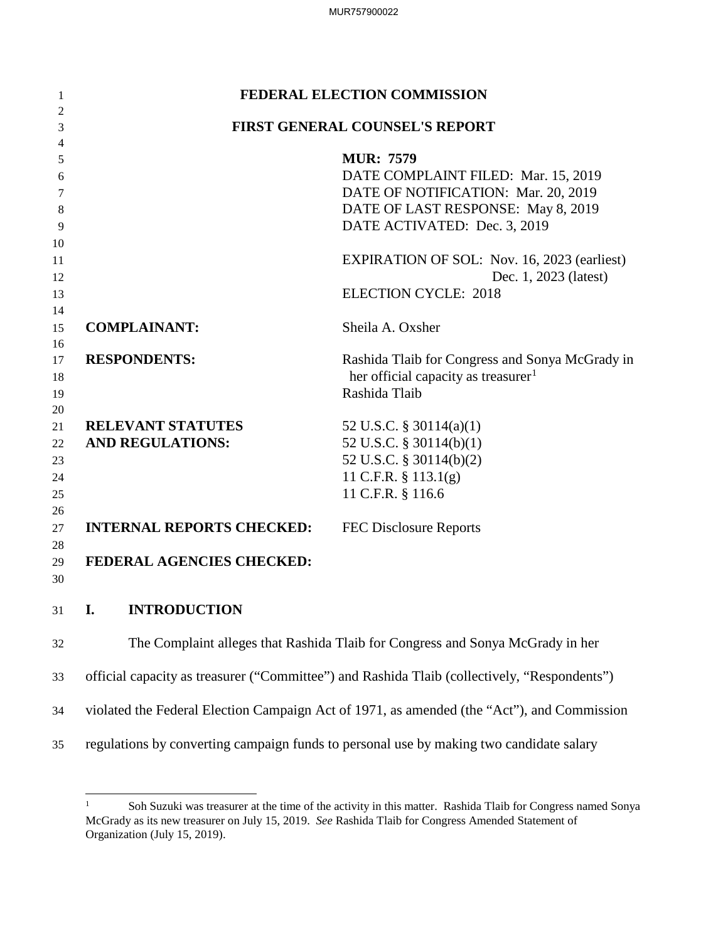|                |                                               | MUR757900022                                                                                                                                                                                                      |
|----------------|-----------------------------------------------|-------------------------------------------------------------------------------------------------------------------------------------------------------------------------------------------------------------------|
|                |                                               |                                                                                                                                                                                                                   |
| 1              |                                               | <b>FEDERAL ELECTION COMMISSION</b>                                                                                                                                                                                |
| 2              |                                               | <b>FIRST GENERAL COUNSEL'S REPORT</b>                                                                                                                                                                             |
| 3<br>4         |                                               |                                                                                                                                                                                                                   |
| 5              |                                               | <b>MUR: 7579</b>                                                                                                                                                                                                  |
| 6              |                                               | DATE COMPLAINT FILED: Mar. 15, 2019                                                                                                                                                                               |
| 7              |                                               | DATE OF NOTIFICATION: Mar. 20, 2019                                                                                                                                                                               |
| 8              |                                               | DATE OF LAST RESPONSE: May 8, 2019                                                                                                                                                                                |
| 9              |                                               | DATE ACTIVATED: Dec. 3, 2019                                                                                                                                                                                      |
| 10<br>11<br>12 |                                               | <b>EXPIRATION OF SOL:</b> Nov. 16, 2023 (earliest)<br>Dec. 1, 2023 (latest)                                                                                                                                       |
| 13             |                                               | <b>ELECTION CYCLE: 2018</b>                                                                                                                                                                                       |
| 14             |                                               |                                                                                                                                                                                                                   |
| 15             | <b>COMPLAINANT:</b>                           | Sheila A. Oxsher                                                                                                                                                                                                  |
| 16             |                                               |                                                                                                                                                                                                                   |
| 17             | <b>RESPONDENTS:</b>                           | Rashida Tlaib for Congress and Sonya McGrady in                                                                                                                                                                   |
| 18<br>19       |                                               | her official capacity as treasurer <sup>1</sup><br>Rashida Tlaib                                                                                                                                                  |
| 20             |                                               |                                                                                                                                                                                                                   |
| 21             | <b>RELEVANT STATUTES</b>                      | 52 U.S.C. $\S$ 30114(a)(1)                                                                                                                                                                                        |
| 22             | <b>AND REGULATIONS:</b>                       | 52 U.S.C. § 30114(b)(1)                                                                                                                                                                                           |
| 23             |                                               | 52 U.S.C. § 30114(b)(2)                                                                                                                                                                                           |
| 24             |                                               | 11 C.F.R. § 113.1(g)                                                                                                                                                                                              |
| 25<br>26       |                                               | 11 C.F.R. § 116.6                                                                                                                                                                                                 |
| 27             | <b>INTERNAL REPORTS CHECKED:</b>              | <b>FEC Disclosure Reports</b>                                                                                                                                                                                     |
| 28             |                                               |                                                                                                                                                                                                                   |
| 29<br>30       | FEDERAL AGENCIES CHECKED:                     |                                                                                                                                                                                                                   |
|                |                                               |                                                                                                                                                                                                                   |
| 31             | I.<br><b>INTRODUCTION</b>                     |                                                                                                                                                                                                                   |
| 32             |                                               | The Complaint alleges that Rashida Tlaib for Congress and Sonya McGrady in her                                                                                                                                    |
| 33             |                                               | official capacity as treasurer ("Committee") and Rashida Tlaib (collectively, "Respondents")                                                                                                                      |
| 34             |                                               | violated the Federal Election Campaign Act of 1971, as amended (the "Act"), and Commission                                                                                                                        |
| 35             |                                               | regulations by converting campaign funds to personal use by making two candidate salary                                                                                                                           |
|                | $\mathbf{1}$<br>Organization (July 15, 2019). | Soh Suzuki was treasurer at the time of the activity in this matter. Rashida Tlaib for Congress named Sonya<br>McGrady as its new treasurer on July 15, 2019. See Rashida Tlaib for Congress Amended Statement of |

 McGrady as its new treasurer on July 15, 2019. *See* Rashida Tlaib for Congress Amended Statement of Organization (July 15, 2019). 1 Soh Suzuki was treasurer at the time of the activity in this matter. Rashida Tlaib for Congress named Sonya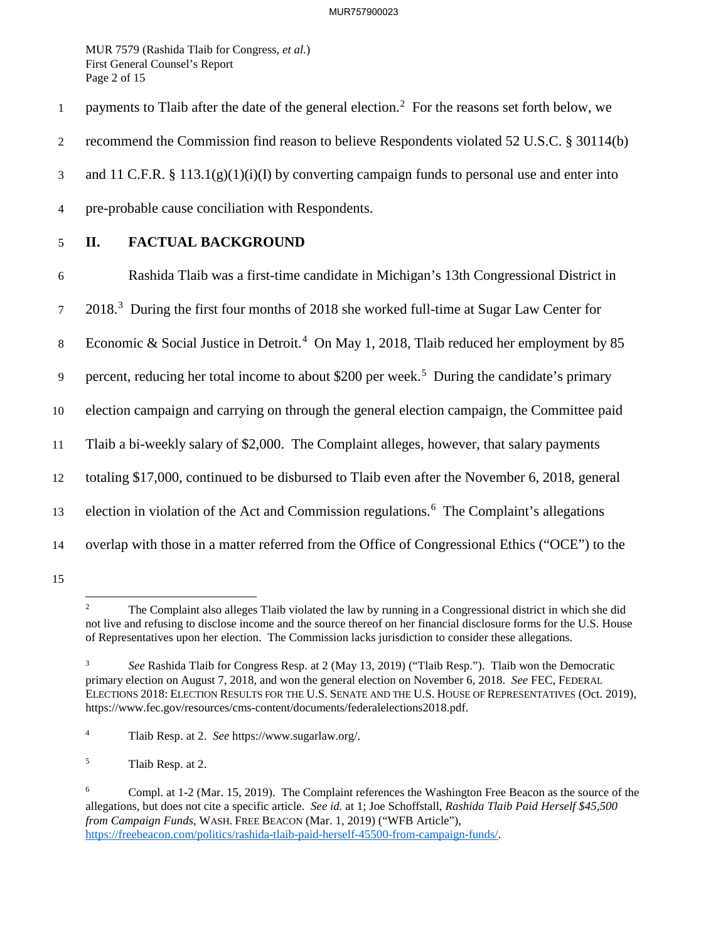Page 2 of 15 MUR 7579 (Rashida Tlaib for Congress, *et al.*) First General Counsel's Report

1 payments to Tlaib after the date of the general election.<sup>2</sup> For the reasons set forth below, we

2 recommend the Commission find reason to believe Respondents violated 52 U.S.C. § 30114(b)

3 and 11 C.F.R. § 113.1(g)(1)(i)(I) by converting campaign funds to personal use and enter into

- 4 pre-probable cause conciliation with Respondents.
- 

## 5 **II. FACTUAL BACKGROUND**

6 Rashida Tlaib was a first-time candidate in Michigan's 13th Congressional District in

2018.<sup>3</sup> During the first four months of 2018 she worked full-time at Sugar Law Center for

8 Economic & Social Justice in Detroit.<sup>4</sup> On May 1, 2018, Tlaib reduced her employment by 85

9 percent, reducing her total income to about \$200 per week.<sup>5</sup> During the candidate's primary

10 election campaign and carrying on through the general election campaign, the Committee paid

11 Tlaib a bi-weekly salary of \$2,000. The Complaint alleges, however, that salary payments

12 totaling \$17,000, continued to be disbursed to Tlaib even after the November 6, 2018, general

13 election in violation of the Act and Commission regulations.<sup>6</sup> The Complaint's allegations

14 overlap with those in a matter referred from the Office of Congressional Ethics ("OCE") to the 15

<sup>-</sup>2 The Complaint also alleges Tlaib violated the law by running in a Congressional district in which she did not live and refusing to disclose income and the source thereof on her financial disclosure forms for the U.S. House of Representatives upon her election. The Commission lacks jurisdiction to consider these allegations.

 $\mathfrak{Z}$  primary election on August 7, 2018, and won the general election on November 6, 2018. *See* FEC, FEDERAL <sup>3</sup>*See* Rashida Tlaib for Congress Resp. at 2 (May 13, 2019) ("Tlaib Resp."). Tlaib won the Democratic ELECTIONS 2018: ELECTION RESULTS FOR THE U.S. SENATE AND THE U.S. HOUSE OF REPRESENTATIVES (Oct. 2019), [https://www.fec.gov/resources/cms-content/documents/federalelections2018.pdf.](https://www.fec.gov/resources/cms-content/documents/federalelections2018.pdf)

 $\overline{4}$ 4 Tlaib Resp. at 2. *See* [https://www.sugarlaw.org/](https://www.sugarlaw.org).

 $\sqrt{5}$ Tlaib Resp. at 2.

 $\sqrt{6}$  allegations, but does not cite a specific article. *See id.* at 1; Joe Schoffstall, *Rashida Tlaib Paid Herself \$45,500*  6 Compl. at 1-2 (Mar. 15, 2019). The Complaint references the Washington Free Beacon as the source of the *from Campaign Funds*, WASH. FREE BEACON (Mar. 1, 2019) ("WFB Article"), <https://freebeacon.com/politics/rashida-tlaib-paid-herself-45500-from-campaign-funds>/.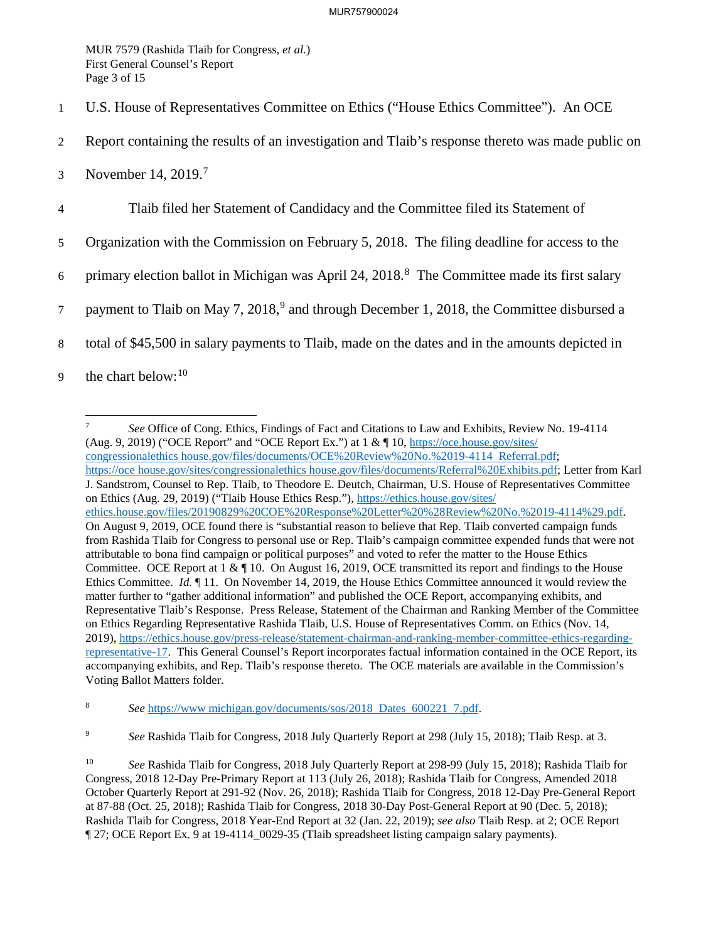Page 3 of 15 MUR 7579 (Rashida Tlaib for Congress, *et al.*) First General Counsel's Report

- 1 U.S. House of Representatives Committee on Ethics ("House Ethics Committee"). An OCE
- 2 Report containing the results of an investigation and Tlaib's response thereto was made public on
- 3 November 14, 2019.<sup>7</sup>

4 Tlaib filed her Statement of Candidacy and the Committee filed its Statement of

5 Organization with the Commission on February 5, 2018. The filing deadline for access to the

6 primary election ballot in Michigan was April 24,  $2018$ .<sup>8</sup> The Committee made its first salary

7 payment to Tlaib on May 7, 2018,<sup>9</sup> and through December 1, 2018, the Committee disbursed a

8 total of \$45,500 in salary payments to Tlaib, made on the dates and in the amounts depicted in

9 the chart below:  $10$ 

-(Aug. 9, 2019) ("OCE Report" and "OCE Report Ex.") at  $1 \& \P 10$ , [https://oce.house.gov/sites/](https://oce.house.gov/sites) on Ethics (Aug. 29, 2019) ("Tlaib House Ethics Resp."), [https://ethics.house.gov/sites/](https://ethics.house.gov/sites) ethics.house.gov/files/20190829%20COE%20Response%20Letter%20%28Review%20No.%2019-4114%29.pdf. Committee. OCE Report at  $1 \& \P 10$ . On August 16, 2019, OCE transmitted its report and findings to the House Ethics Committee. *Id.* ¶ 11. On November 14, 2019, the House Ethics Committee announced it would review the Voting Ballot Matters folder. <sup>7</sup>*See* Office of Cong. Ethics, Findings of Fact and Citations to Law and Exhibits, Review No. 19-4114 congressionalethics house.gov/files/documents/OCE%20Review%20No.%2019-4114 Referral.pdf; <https://oce> [house.gov/sites/congressionalethics](https://house.gov/sites/congressionalethics) house.gov/files/documents/Referral%20Exhibits.pdf; Letter from Karl J. Sandstrom, Counsel to Rep. Tlaib, to Theodore E. Deutch, Chairman, U.S. House of Representatives Committee On August 9, 2019, OCE found there is "substantial reason to believe that Rep. Tlaib converted campaign funds from Rashida Tlaib for Congress to personal use or Rep. Tlaib's campaign committee expended funds that were not attributable to bona find campaign or political purposes" and voted to refer the matter to the House Ethics matter further to "gather additional information" and published the OCE Report, accompanying exhibits, and Representative Tlaib's Response. Press Release, Statement of the Chairman and Ranking Member of the Committee on Ethics Regarding Representative Rashida Tlaib, U.S. House of Representatives Comm. on Ethics (Nov. 14, 2019), <https://ethics.house.gov/press-release/statement-chairman-and-ranking-member-committee-ethics-regarding>representative-17. This General Counsel's Report incorporates factual information contained in the OCE Report, its accompanying exhibits, and Rep. Tlaib's response thereto. The OCE materials are available in the Commission's

 $\bf 8$ See <https://www>.michigan.gov/documents/sos/2018 Dates 600221 7.pdf.

 $\overline{9}$ <sup>9</sup>*See* Rashida Tlaib for Congress, 2018 July Quarterly Report at 298 (July 15, 2018); Tlaib Resp. at 3.

 $10\,$ <sup>10</sup>*See* Rashida Tlaib for Congress, 2018 July Quarterly Report at 298-99 (July 15, 2018); Rashida Tlaib for Congress, 2018 12-Day Pre-Primary Report at 113 (July 26, 2018); Rashida Tlaib for Congress, Amended 2018 October Quarterly Report at 291-92 (Nov. 26, 2018); Rashida Tlaib for Congress, 2018 12-Day Pre-General Report at 87-88 (Oct. 25, 2018); Rashida Tlaib for Congress, 2018 30-Day Post-General Report at 90 (Dec. 5, 2018); Rashida Tlaib for Congress, 2018 Year-End Report at 32 (Jan. 22, 2019); *see also* Tlaib Resp. at 2; OCE Report ¶ 27; OCE Report Ex. 9 at 19-4114\_0029-35 (Tlaib spreadsheet listing campaign salary payments).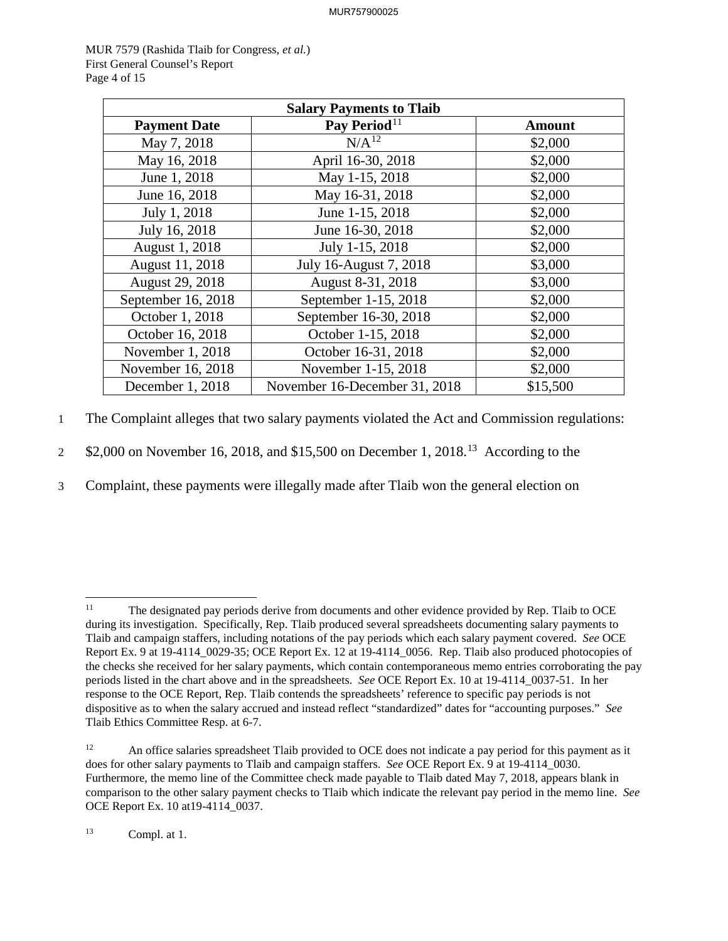Page 4 of 15 MUR 7579 (Rashida Tlaib for Congress, *et al.*) First General Counsel's Report

| <b>Salary Payments to Tlaib</b> |                               |               |  |  |
|---------------------------------|-------------------------------|---------------|--|--|
| <b>Payment Date</b>             | Pay Period <sup>11</sup>      | <b>Amount</b> |  |  |
| May 7, 2018                     | $N/A^{12}$                    | \$2,000       |  |  |
| May 16, 2018                    | April 16-30, 2018             | \$2,000       |  |  |
| June 1, 2018                    | May 1-15, 2018                | \$2,000       |  |  |
| June 16, 2018                   | May 16-31, 2018               | \$2,000       |  |  |
| July 1, 2018                    | June 1-15, 2018               | \$2,000       |  |  |
| July 16, 2018                   | June 16-30, 2018              | \$2,000       |  |  |
| August 1, 2018                  | July 1-15, 2018               | \$2,000       |  |  |
| August 11, 2018                 | July 16-August 7, 2018        | \$3,000       |  |  |
| August 29, 2018                 | August 8-31, 2018             | \$3,000       |  |  |
| September 16, 2018              | September 1-15, 2018          | \$2,000       |  |  |
| October 1, 2018                 | September 16-30, 2018         | \$2,000       |  |  |
| October 16, 2018                | October 1-15, 2018            | \$2,000       |  |  |
| November 1, 2018                | October 16-31, 2018           | \$2,000       |  |  |
| November 16, 2018               | November 1-15, 2018           | \$2,000       |  |  |
| December 1, 2018                | November 16-December 31, 2018 | \$15,500      |  |  |

1 The Complaint alleges that two salary payments violated the Act and Commission regulations:

2 \$2,000 on November 16, 2018, and \$15,500 on December 1, 2018.<sup>13</sup> According to the

3 Complaint, these payments were illegally made after Tlaib won the general election on

<sup>-</sup> Tlaib and campaign staffers, including notations of the pay periods which each salary payment covered. *See* OCE Report Ex. 9 at 19-4114\_0029-35; OCE Report Ex. 12 at 19-4114\_0056. Rep. Tlaib also produced photocopies of Tlaib Ethics Committee Resp. at 6-7. The designated pay periods derive from documents and other evidence provided by Rep. Tlaib to OCE during its investigation. Specifically, Rep. Tlaib produced several spreadsheets documenting salary payments to the checks she received for her salary payments, which contain contemporaneous memo entries corroborating the pay periods listed in the chart above and in the spreadsheets. *See* OCE Report Ex. 10 at 19-4114\_0037-51. In her response to the OCE Report, Rep. Tlaib contends the spreadsheets' reference to specific pay periods is not dispositive as to when the salary accrued and instead reflect "standardized" dates for "accounting purposes." *See* 

 $12$  does for other salary payments to Tlaib and campaign staffers. *See* OCE Report Ex. 9 at 19-4114\_0030. OCE Report Ex. 10 at 19-4114\_0037.<br><sup>13</sup> Compl. at 1. An office salaries spreadsheet Tlaib provided to OCE does not indicate a pay period for this payment as it Furthermore, the memo line of the Committee check made payable to Tlaib dated May 7, 2018, appears blank in comparison to the other salary payment checks to Tlaib which indicate the relevant pay period in the memo line. *See*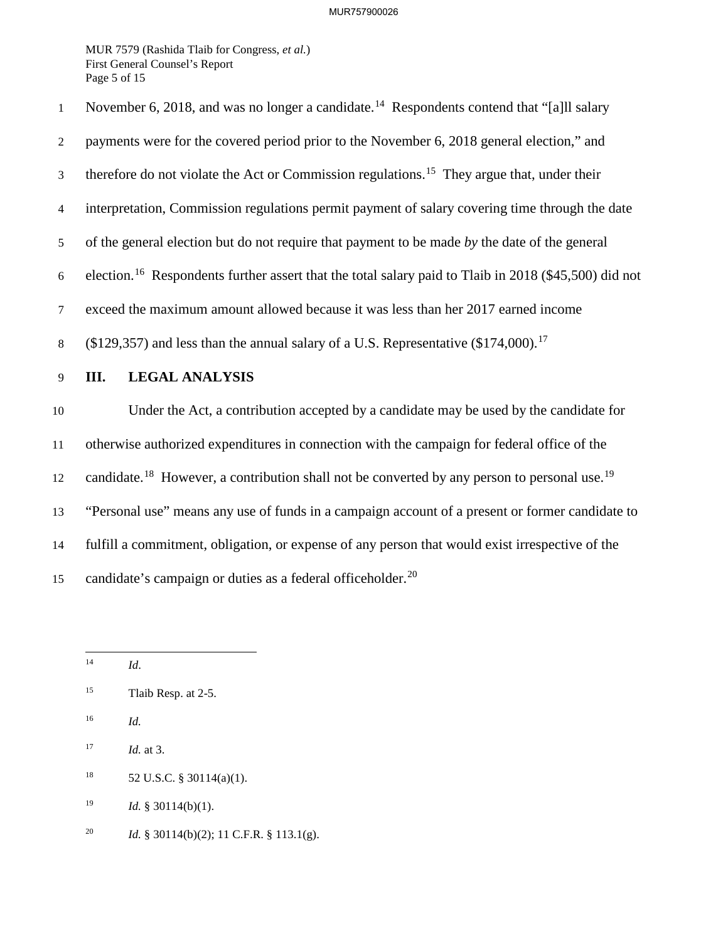Page 5 of 15 MUR 7579 (Rashida Tlaib for Congress, *et al.*) First General Counsel's Report

 5 of the general election but do not require that payment to be made *by* the date of the general 12 [candidate.](https://candidate.18)<sup>18</sup> However, a contribution shall not be converted by any person to personal use.<sup>19</sup> 15 candidate's campaign or duties as a federal [officeholder.](https://officeholder.20)<sup>20</sup> 1 November 6, 2018, and was no longer a [candidate.](https://candidate.14)<sup>14</sup> Respondents contend that "[a]ll salary 2 payments were for the covered period prior to the November 6, 2018 general election," and 3 therefore do not violate the Act or Commission [regulations.](https://regulations.15)<sup>15</sup> They argue that, under their 4 interpretation, Commission regulations permit payment of salary covering time through the date 6 [election.](https://election.16)16 Respondents further assert that the total salary paid to Tlaib in 2018 (\$45,500) did not 7 exceed the maximum amount allowed because it was less than her 2017 earned income 8 (\$129,357) and less than the annual salary of a U.S. Representative  $(\$174,000)$ .<sup>17</sup> 9 **III. LEGAL ANALYSIS**  10 Under the Act, a contribution accepted by a candidate may be used by the candidate for 11 otherwise authorized expenditures in connection with the campaign for federal office of the 13 "Personal use" means any use of funds in a campaign account of a present or former candidate to 14 fulfill a commitment, obligation, or expense of any person that would exist irrespective of the

- $16\,$ <sup>16</sup>*Id.*
- $17\,$ *Id.* at 3.
- $18\,$ 52 U.S.C. § 30114(a)(1).
- $19$ Id. § 30114(b)(1).
- $20\,$ <sup>20</sup>*Id.* § 30114(b)(2); 11 C.F.R. § 113.1(g).

<sup>-</sup><sup>14</sup>*Id*.

 $15<sup>15</sup>$ Tlaib Resp. at 2-5.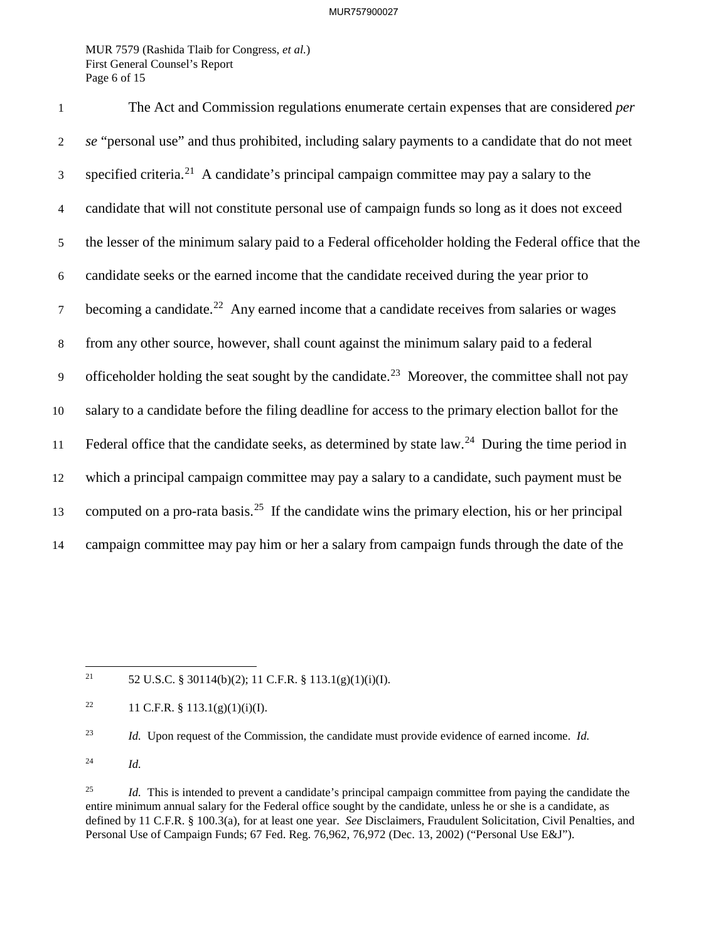Page 6 of 15 MUR 7579 (Rashida Tlaib for Congress, *et al.*) First General Counsel's Report

3 specified [criteria.](https://criteria.21)<sup>21</sup> A candidate's principal campaign committee may pay a salary to the  $7$  becoming a [candidate.](https://candidate.22)<sup>22</sup> Any earned income that a candidate receives from salaries or wages 1 The Act and Commission regulations enumerate certain expenses that are considered *per*  2 *se* "personal use" and thus prohibited, including salary payments to a candidate that do not meet 4 candidate that will not constitute personal use of campaign funds so long as it does not exceed 5 the lesser of the minimum salary paid to a Federal officeholder holding the Federal office that the 6 candidate seeks or the earned income that the candidate received during the year prior to 8 from any other source, however, shall count against the minimum salary paid to a federal 9 officeholder holding the seat sought by the [candidate.](https://candidate.23)<sup>23</sup> Moreover, the committee shall not pay 10 salary to a candidate before the filing deadline for access to the primary election ballot for the 11 Federal office that the candidate seeks, as determined by state law.<sup>24</sup> During the time period in 12 which a principal campaign committee may pay a salary to a candidate, such payment must be 13 computed on a pro-rata [basis.](https://basis.25)<sup>25</sup> If the candidate wins the primary election, his or her principal 14 campaign committee may pay him or her a salary from campaign funds through the date of the

21 52 U.S.C. § 30114(b)(2); 11 C.F.R. § 113.1(g)(1)(i)(I).

1

 $22\,$ 11 C.F.R.  $\S$  113.1(g)(1)(i)(I).

 $23\,$ <sup>23</sup>*Id.* Upon request of the Commission, the candidate must provide evidence of earned income. *Id.* 

 $24\,$ <sup>24</sup>*Id.* 

<sup>25</sup>  defined by 11 C.F.R. § 100.3(a), for at least one year. *See* Disclaimers, Fraudulent Solicitation, Civil Penalties, and Personal Use of Campaign Funds; 67 Fed. Reg. 76,962, 76,972 (Dec. 13, 2002) ("Personal Use E&J"). Id. This is intended to prevent a candidate's principal campaign committee from paying the candidate the entire minimum annual salary for the Federal office sought by the candidate, unless he or she is a candidate, as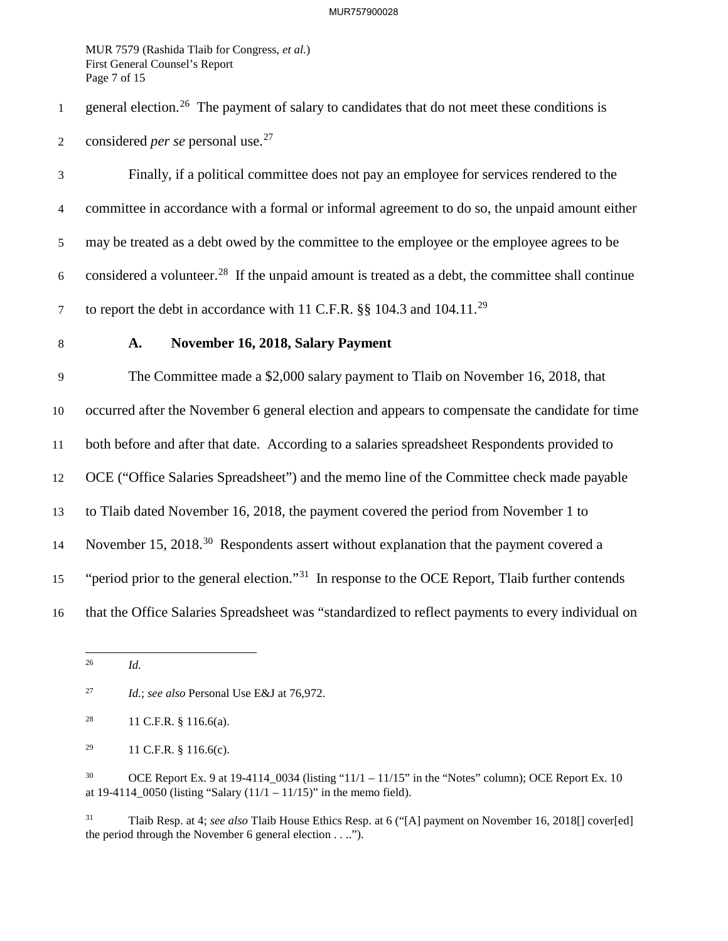Page 7 of 15 MUR 7579 (Rashida Tlaib for Congress, *et al.*) First General Counsel's Report

1 general election.26 The payment of salary to candidates that do not meet these conditions is 2 considered *per se* personal use.<sup>27</sup>

7 to report the debt in accordance with 11 C.F.R.  $\S$ § 104.3 and 104.11.<sup>29</sup> 3 Finally, if a political committee does not pay an employee for services rendered to the 4 committee in accordance with a formal or informal agreement to do so, the unpaid amount either 5 may be treated as a debt owed by the committee to the employee or the employee agrees to be 6 considered a volunteer.<sup>28</sup> If the unpaid amount is treated as a debt, the committee shall continue

## 8 **A. November 16, 2018, Salary Payment**

 11 both before and after that date. According to a salaries spreadsheet Respondents provided to 15 "period prior to the general election."<sup>31</sup> In response to the OCE Report, Tlaib further contends 9 The Committee made a \$2,000 salary payment to Tlaib on November 16, 2018, that 10 occurred after the November 6 general election and appears to compensate the candidate for time 12 OCE ("Office Salaries Spreadsheet") and the memo line of the Committee check made payable 13 to Tlaib dated November 16, 2018, the payment covered the period from November 1 to 14 November 15, 2018.<sup>30</sup> Respondents assert without explanation that the payment covered a 16 that the Office Salaries Spreadsheet was "standardized to reflect payments to every individual on

1

 $31$  the period through the November 6 general election . . .."). 31 Tlaib Resp. at 4; *see also* Tlaib House Ethics Resp. at 6 ("[A] payment on November 16, 2018[] cover[ed]

*Id.* 

 $27\,$ <sup>27</sup>*Id.*; *see also* Personal Use E&J at 76,972.

 $28\,$ 11 C.F.R. § 116.6(a).

<sup>29</sup> 29 11 C.F.R. § 116.6(c).

 $30$ OCE Report Ex. 9 at 19-4114  $0.034$  (listing "11/1 – 11/15" in the "Notes" column); OCE Report Ex. 10 at 19-4114  $\overline{0050}$  (listing "Salary (11/1 – 11/15)" in the memo field).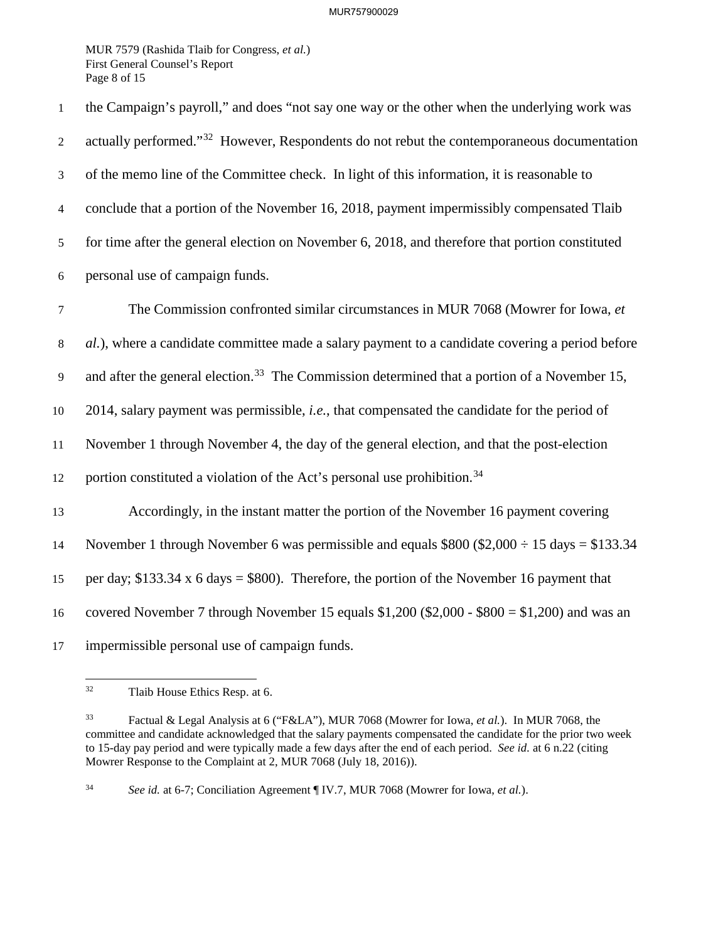Page 8 of 15 MUR 7579 (Rashida Tlaib for Congress, *et al.*) First General Counsel's Report

| $\mathbf{1}$   | the Campaign's payroll," and does "not say one way or the other when the underlying work was             |
|----------------|----------------------------------------------------------------------------------------------------------|
| 2              | actually performed." <sup>32</sup> However, Respondents do not rebut the contemporaneous documentation   |
| $\mathfrak{Z}$ | of the memo line of the Committee check. In light of this information, it is reasonable to               |
| $\overline{4}$ | conclude that a portion of the November 16, 2018, payment impermissibly compensated Tlaib                |
| 5              | for time after the general election on November 6, 2018, and therefore that portion constituted          |
| $6\,$          | personal use of campaign funds.                                                                          |
| $\overline{7}$ | The Commission confronted similar circumstances in MUR 7068 (Mowrer for Iowa, et                         |
| 8              | al.), where a candidate committee made a salary payment to a candidate covering a period before          |
| 9              | and after the general election. <sup>33</sup> The Commission determined that a portion of a November 15, |
| $10\,$         | 2014, salary payment was permissible, <i>i.e.</i> , that compensated the candidate for the period of     |
| 11             | November 1 through November 4, the day of the general election, and that the post-election               |
| 12             | portion constituted a violation of the Act's personal use prohibition. <sup>34</sup>                     |
| 13             | Accordingly, in the instant matter the portion of the November 16 payment covering                       |
| 14             | November 1 through November 6 was permissible and equals $$800 ($2,000 \div 15 \text{ days} = $133.34$   |
| 15             | per day; $$133.34 \times 6$ days = \$800). Therefore, the portion of the November 16 payment that        |
| 16             | covered November 7 through November 15 equals $$1,200$ ( $$2,000 - $800 = $1,200$ ) and was an           |
| 17             | impermissible personal use of campaign funds.                                                            |

Tlaib House Ethics Resp. at 6.

 $33\,$  to 15-day pay period and were typically made a few days after the end of each period. *See id.* at 6 n.22 (citing 33 Factual & Legal Analysis at 6 ("F&LA"), MUR 7068 (Mowrer for Iowa, *et al.*). In MUR 7068, the committee and candidate acknowledged that the salary payments compensated the candidate for the prior two week Mowrer Response to the Complaint at 2, MUR 7068 (July 18, 2016)).

 $34\,$ See id. at 6-7; Conciliation Agreement [IV.7, MUR 7068 (Mowrer for Iowa, et al.).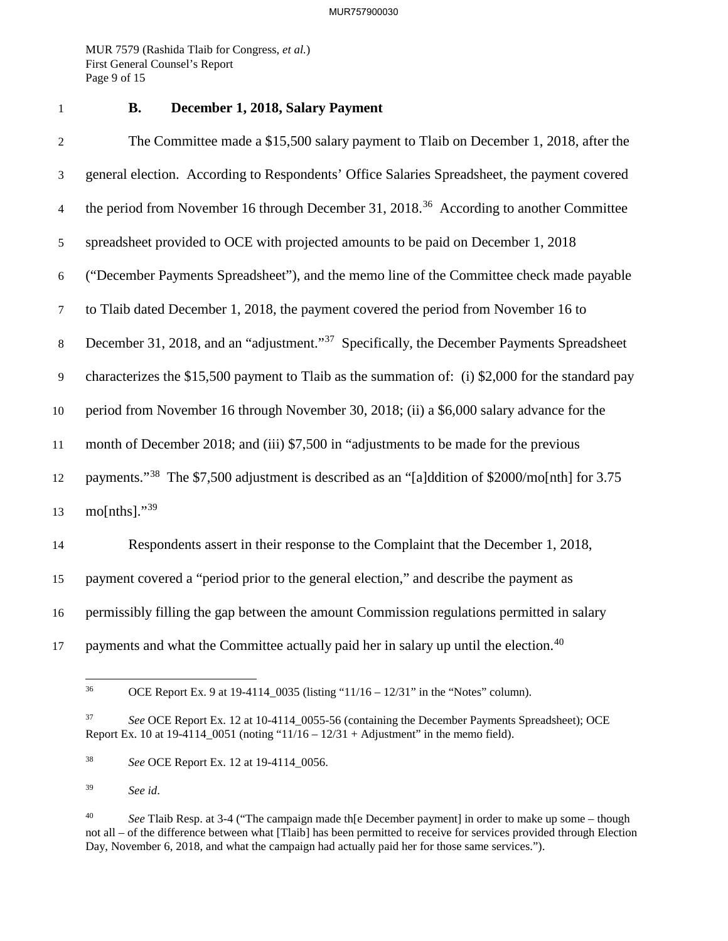Page 9 of 15 MUR 7579 (Rashida Tlaib for Congress, *et al.*) First General Counsel's Report

## 1 **B. December 1, 2018, Salary Payment**

 6 ("December Payments Spreadsheet"), and the memo line of the Committee check made payable 8 December 31, 2018, and an "adjustment."<sup>37</sup> Specifically, the December Payments Spreadsheet 2 The Committee made a \$15,500 salary payment to Tlaib on December 1, 2018, after the 3 general election. According to Respondents' Office Salaries Spreadsheet, the payment covered 4 the period from November 16 through December 31, 2018.<sup>36</sup> According to another Committee 5 spreadsheet provided to OCE with projected amounts to be paid on December 1, 2018 7 to Tlaib dated December 1, 2018, the payment covered the period from November 16 to 9 characterizes the \$15,500 payment to Tlaib as the summation of: (i) \$2,000 for the standard pay 10 period from November 16 through November 30, 2018; (ii) a \$6,000 salary advance for the 11 month of December 2018; and (iii) \$7,500 in "adjustments to be made for the previous 12 payments."38 The \$7,500 adjustment is described as an "[a]ddition of \$2000/mo[nth] for 3.75 13 mo[nths]." $39$ 14 Respondents assert in their response to the Complaint that the December 1, 2018, 15 payment covered a "period prior to the general election," and describe the payment as 16 permissibly filling the gap between the amount Commission regulations permitted in salary

17 payments and what the Committee actually paid her in salary up until the election.<sup>40</sup>

<sup>36</sup> OCE Report Ex. 9 at 19-4114\_0035 (listing "11/16 – 12/31" in the "Notes" column).

<sup>37</sup>  Report Ex. 10 at 19-4114\_0051 (noting "11/16 – 12/31 + Adjustment" in the memo field). <sup>37</sup>*See* OCE Report Ex. 12 at 10-4114\_0055-56 (containing the December Payments Spreadsheet); OCE

 $38\,$ <sup>38</sup>*See* OCE Report Ex. 12 at 19-4114\_0056.

 $39\,$ <sup>39</sup>*See id*.

<sup>40</sup> <sup>40</sup>*See* Tlaib Resp. at 3-4 ("The campaign made th[e December payment] in order to make up some – though not all – of the difference between what [Tlaib] has been permitted to receive for services provided through Election Day, November 6, 2018, and what the campaign had actually paid her for those same services.").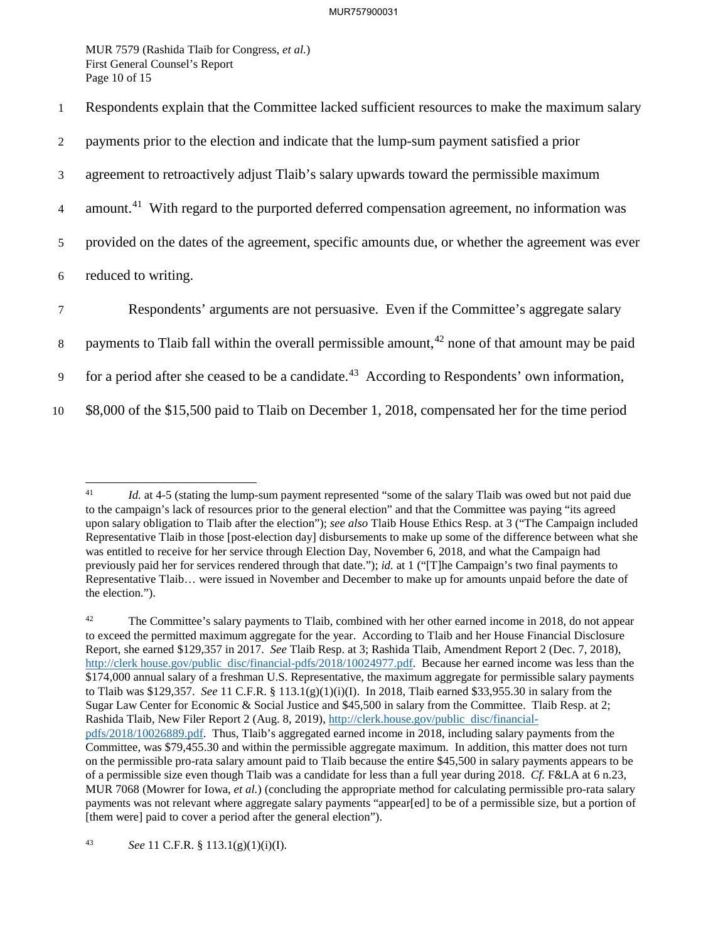Page 10 of 15 MUR 7579 (Rashida Tlaib for Congress, *et al.*) First General Counsel's Report

1 Respondents explain that the Committee lacked sufficient resources to make the maximum salary

2 payments prior to the election and indicate that the lump-sum payment satisfied a prior

3 agreement to retroactively adjust Tlaib's salary upwards toward the permissible maximum

4 [amount.](https://amount.41)<sup>41</sup> With regard to the purported deferred compensation agreement, no information was

5 provided on the dates of the agreement, specific amounts due, or whether the agreement was ever

6 reduced to writing.

7 Respondents' arguments are not persuasive. Even if the Committee's aggregate salary

8 payments to Tlaib fall within the overall permissible amount,  $42$  none of that amount may be paid

9 for a period after she ceased to be a [candidate.](https://candidate.43)<sup>43</sup> According to Respondents' own information,

10 \$8,000 of the \$15,500 paid to Tlaib on December 1, 2018, compensated her for the time period

42 Report, she earned \$129,357 in 2017. *See* Tlaib Resp. at 3; Rashida Tlaib, Amendment Report 2 (Dec. 7, 2018), to Tlaib was \$129,357. *See* 11 C.F.R. § 113.1(g)(1)(i)(I). In 2018, Tlaib earned \$[33,955.30](https://33,955.30) in salary from the Committee, was \$[79,455.30](https://79,455.30) and within the permissible aggregate maximum. In addition, this matter does not turn of a permissible size even though Tlaib was a candidate for less than a full year during 2018. *Cf.* F&LA at 6 n.23, The Committee's salary payments to Tlaib, combined with her other earned income in 2018, do not appear to exceed the permitted maximum aggregate for the year. According to Tlaib and her House Financial Disclosure <http://clerk>[house.gov/public](https://house.gov/public) disc/financial-pdfs/2018/10024977.pdf. Because her earned income was less than the \$174,000 annual salary of a freshman U.S. Representative, the maximum aggregate for permissible salary payments Sugar Law Center for Economic & Social Justice and \$45,500 in salary from the Committee. Tlaib Resp. at 2; Rashida Tlaib, New Filer Report 2 (Aug. 8, 2019), <http://clerk.house.gov/public> disc/financialpdfs/2018/10026889.pdf. Thus, Tlaib's aggregated earned income in 2018, including salary payments from the on the permissible pro-rata salary amount paid to Tlaib because the entire \$45,500 in salary payments appears to be MUR 7068 (Mowrer for Iowa, *et al.*) (concluding the appropriate method for calculating permissible pro-rata salary payments was not relevant where aggregate salary payments "appear[ed] to be of a permissible size, but a portion of [them were] paid to cover a period after the general election").

<sup>-</sup> upon salary obligation to Tlaib after the election"); *see also* Tlaib House Ethics Resp. at 3 ("The Campaign included Id. at 4-5 (stating the lump-sum payment represented "some of the salary Tlaib was owed but not paid due to the campaign's lack of resources prior to the general election" and that the Committee was paying "its agreed Representative Tlaib in those [post-election day] disbursements to make up some of the difference between what she was entitled to receive for her service through Election Day, November 6, 2018, and what the Campaign had previously paid her for services rendered through that date."); *id.* at 1 ("[T]he Campaign's two final payments to Representative Tlaib… were issued in November and December to make up for amounts unpaid before the date of the election.").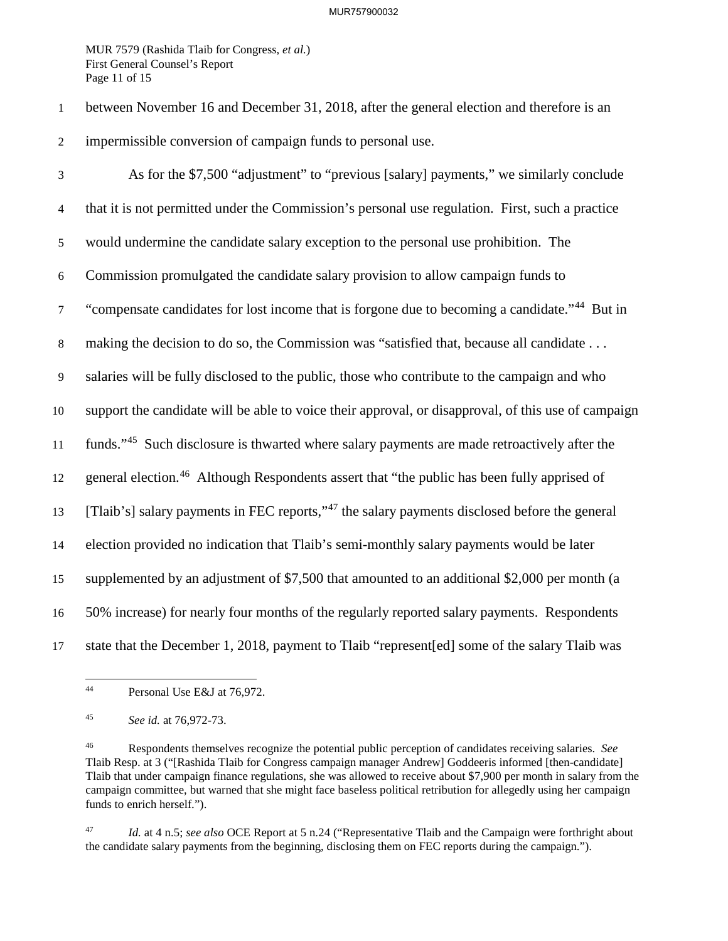Page 11 of 15 MUR 7579 (Rashida Tlaib for Congress, *et al.*) First General Counsel's Report

1 between November 16 and December 31, 2018, after the general election and therefore is an 2 impermissible conversion of campaign funds to personal use.

<sup>7</sup> "compensate candidates for lost income that is forgone due to becoming a candidate."<sup>44</sup> But in 11 funds."<sup>45</sup> Such disclosure is thwarted where salary payments are made retroactively after the 12 general election.<sup>46</sup> Although Respondents assert that "the public has been fully apprised of 3 As for the \$7,500 "adjustment" to "previous [salary] payments," we similarly conclude 4 that it is not permitted under the Commission's personal use regulation. First, such a practice 5 would undermine the candidate salary exception to the personal use prohibition. The 6 Commission promulgated the candidate salary provision to allow campaign funds to 8 making the decision to do so, the Commission was "satisfied that, because all candidate . . . 9 salaries will be fully disclosed to the public, those who contribute to the campaign and who 10 support the candidate will be able to voice their approval, or disapproval, of this use of campaign 13 [Tlaib's] salary payments in FEC reports,"47 the salary payments disclosed before the general 14 election provided no indication that Tlaib's semi-monthly salary payments would be later 15 supplemented by an adjustment of \$7,500 that amounted to an additional \$2,000 per month (a 16 50% increase) for nearly four months of the regularly reported salary payments. Respondents 17 state that the December 1, 2018, payment to Tlaib "represent[ed] some of the salary Tlaib was

 $47\,$ Id. at 4 n.5; see also OCE Report at 5 n.24 ("Representative Tlaib and the Campaign were forthright about the candidate salary payments from the beginning, disclosing them on FEC reports during the campaign.").

<sup>-</sup>Personal Use E&J at 76,972.

 $45\,$ <sup>45</sup>*See id.* at 76,972-73.

 $46\,$ 46 Respondents themselves recognize the potential public perception of candidates receiving salaries. *See*  Tlaib Resp. at 3 ("[Rashida Tlaib for Congress campaign manager Andrew] Goddeeris informed [then-candidate] Tlaib that under campaign finance regulations, she was allowed to receive about \$7,900 per month in salary from the campaign committee, but warned that she might face baseless political retribution for allegedly using her campaign funds to enrich herself.").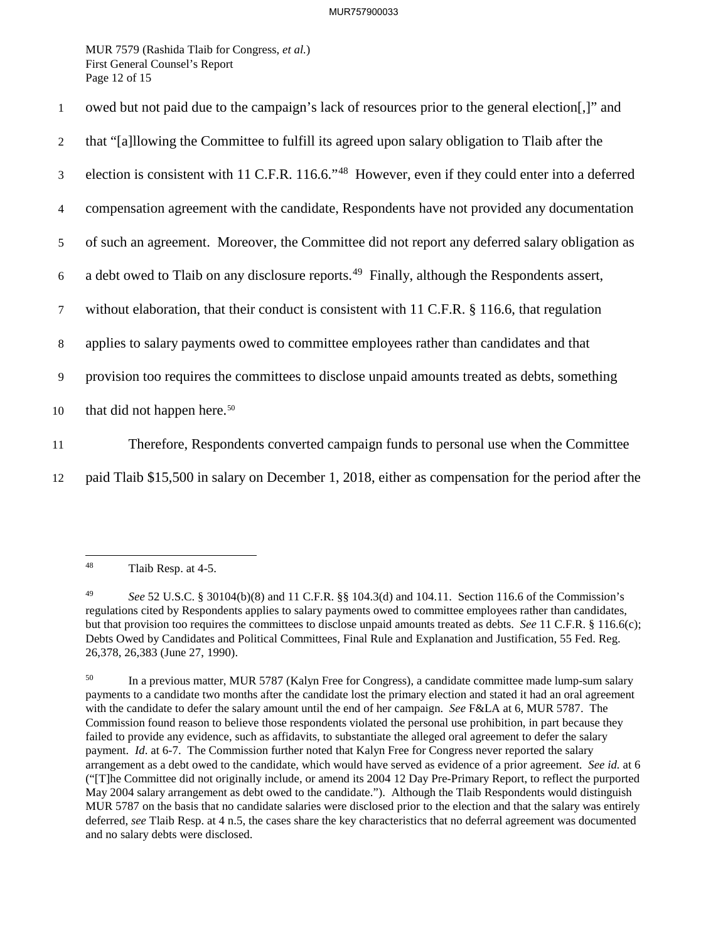Page 12 of 15 MUR 7579 (Rashida Tlaib for Congress, *et al.*) First General Counsel's Report

| 2<br>3<br>4<br>5 <sup>5</sup><br>6<br>$\tau$<br>applies to salary payments owed to committee employees rather than candidates and that<br>8<br>9<br>that did not happen here. <sup>50</sup><br>10<br>11 | $\mathbf{1}$ | owed but not paid due to the campaign's lack of resources prior to the general election]" and                 |
|---------------------------------------------------------------------------------------------------------------------------------------------------------------------------------------------------------|--------------|---------------------------------------------------------------------------------------------------------------|
|                                                                                                                                                                                                         |              | that "[a]llowing the Committee to fulfill its agreed upon salary obligation to Tlaib after the                |
|                                                                                                                                                                                                         |              | election is consistent with 11 C.F.R. 116.6." <sup>48</sup> However, even if they could enter into a deferred |
|                                                                                                                                                                                                         |              | compensation agreement with the candidate, Respondents have not provided any documentation                    |
|                                                                                                                                                                                                         |              | of such an agreement. Moreover, the Committee did not report any deferred salary obligation as                |
|                                                                                                                                                                                                         |              | a debt owed to Tlaib on any disclosure reports. <sup>49</sup> Finally, although the Respondents assert,       |
|                                                                                                                                                                                                         |              | without elaboration, that their conduct is consistent with 11 C.F.R. § 116.6, that regulation                 |
|                                                                                                                                                                                                         |              |                                                                                                               |
|                                                                                                                                                                                                         |              | provision too requires the committees to disclose unpaid amounts treated as debts, something                  |
|                                                                                                                                                                                                         |              |                                                                                                               |
|                                                                                                                                                                                                         |              | Therefore, Respondents converted campaign funds to personal use when the Committee                            |

12 paid Tlaib \$15,500 in salary on December 1, 2018, either as compensation for the period after the

<sup>48</sup> Tlaib Resp. at 4-5.

<sup>49</sup>  but that provision too requires the committees to disclose unpaid amounts treated as debts. *See* 11 C.F.R. § 116.6(c); 26,378, 26,383 (June 27, 1990). <sup>49</sup>*See* 52 U.S.C. § 30104(b)(8) and 11 C.F.R. §§ 104.3(d) and 104.11. Section 116.6 of the Commission's regulations cited by Respondents applies to salary payments owed to committee employees rather than candidates, Debts Owed by Candidates and Political Committees, Final Rule and Explanation and Justification, 55 Fed. Reg.

<sup>50</sup>  with the candidate to defer the salary amount until the end of her campaign. *See* F&LA at 6, MUR 5787. The payment. *Id*. at 6-7. The Commission further noted that Kalyn Free for Congress never reported the salary May 2004 salary arrangement as debt owed to the candidate."). Although the Tlaib Respondents would distinguish 50 In a previous matter, MUR 5787 (Kalyn Free for Congress), a candidate committee made lump-sum salary payments to a candidate two months after the candidate lost the primary election and stated it had an oral agreement Commission found reason to believe those respondents violated the personal use prohibition, in part because they failed to provide any evidence, such as affidavits, to substantiate the alleged oral agreement to defer the salary arrangement as a debt owed to the candidate, which would have served as evidence of a prior agreement. *See id.* at 6 ("[T]he Committee did not originally include, or amend its 2004 12 Day Pre-Primary Report, to reflect the purported MUR 5787 on the basis that no candidate salaries were disclosed prior to the election and that the salary was entirely deferred, *see* Tlaib Resp. at 4 n.5, the cases share the key characteristics that no deferral agreement was documented and no salary debts were disclosed.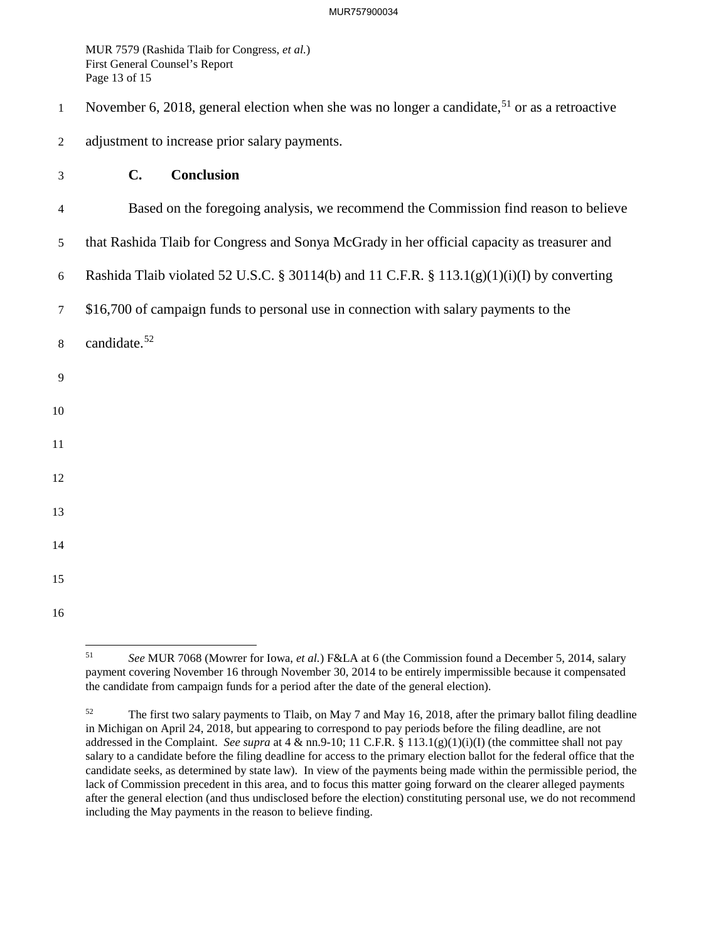Page 13 of 15 MUR 7579 (Rashida Tlaib for Congress, *et al.*) First General Counsel's Report

- 1 November 6, 2018, general election when she was no longer a candidate,<sup>51</sup> or as a retroactive
- 2 adjustment to increase prior salary payments.
- 3 **C. Conclusion**
- 4 Based on the foregoing analysis, we recommend the Commission find reason to believe
- 5 that Rashida Tlaib for Congress and Sonya McGrady in her official capacity as treasurer and
- 6 Rashida Tlaib violated 52 U.S.C. § 30114(b) and 11 C.F.R. § 113.1(g)(1)(i)(I) by converting
- 7 \$16,700 of campaign funds to personal use in connection with salary payments to the
- 8 [candidate.](https://candidate.52)<sup>52</sup>
- 9
- 10
- 
- 11
- 
- 
- 
- 12
- 13
- 
- 
- 14
- 15 16

<sup>1</sup> 

the candidate from campaign funds for a period after the date of the general election). <sup>51</sup>*See* MUR 7068 (Mowrer for Iowa, *et al.*) F&LA at 6 (the Commission found a December 5, 2014, salary payment covering November 16 through November 30, 2014 to be entirely impermissible because it compensated

<sup>52</sup>  addressed in the Complaint. *See supra* at 4 & nn.9-10; 11 C.F.R. § 113.1(g)(1)(i)(I) (the committee shall not pay including the May payments in the reason to believe finding. The first two salary payments to Tlaib, on May 7 and May 16, 2018, after the primary ballot filing deadline in Michigan on April 24, 2018, but appearing to correspond to pay periods before the filing deadline, are not salary to a candidate before the filing deadline for access to the primary election ballot for the federal office that the candidate seeks, as determined by state law). In view of the payments being made within the permissible period, the lack of Commission precedent in this area, and to focus this matter going forward on the clearer alleged payments after the general election (and thus undisclosed before the election) constituting personal use, we do not recommend MUR 7579 (Rashida Tiaib for Congress, *et al.*)<br>
First Greent Connel's Report<br>
Frage 13 of 15<br>
Frage 13 of 15<br>
November 6, 2018, general election when she was no 1<br>
adjustment to increase prior salary payments.<br> **C. Con**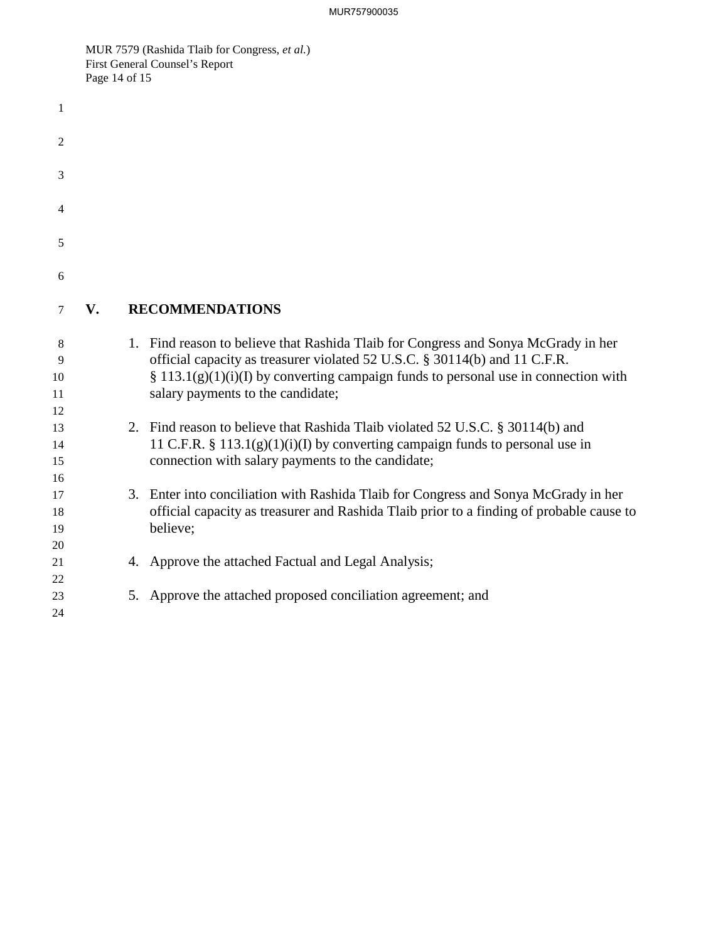MUR 7579 (Rashida Tlaib for Congress, *et al.*) First General Counsel's Report Page 14 of 15

| 1                          |    |    |                                                                                                                                                                                                                                                                                                 |
|----------------------------|----|----|-------------------------------------------------------------------------------------------------------------------------------------------------------------------------------------------------------------------------------------------------------------------------------------------------|
| 2                          |    |    |                                                                                                                                                                                                                                                                                                 |
| 3                          |    |    |                                                                                                                                                                                                                                                                                                 |
| 4                          |    |    |                                                                                                                                                                                                                                                                                                 |
| 5                          |    |    |                                                                                                                                                                                                                                                                                                 |
| 6                          |    |    |                                                                                                                                                                                                                                                                                                 |
| 7                          | V. |    | <b>RECOMMENDATIONS</b>                                                                                                                                                                                                                                                                          |
| 8<br>9<br>10<br>11         |    |    | 1. Find reason to believe that Rashida Tlaib for Congress and Sonya McGrady in her<br>official capacity as treasurer violated 52 U.S.C. § 30114(b) and 11 C.F.R.<br>$\S$ 113.1(g)(1)(i)(I) by converting campaign funds to personal use in connection with<br>salary payments to the candidate; |
| 12<br>13<br>14<br>15<br>16 |    |    | 2. Find reason to believe that Rashida Tlaib violated 52 U.S.C. § 30114(b) and<br>11 C.F.R. § 113.1(g)(1)(i)(I) by converting campaign funds to personal use in<br>connection with salary payments to the candidate;                                                                            |
| 17<br>18<br>19<br>20       |    |    | 3. Enter into conciliation with Rashida Tlaib for Congress and Sonya McGrady in her<br>official capacity as treasurer and Rashida Tlaib prior to a finding of probable cause to<br>believe;                                                                                                     |
| 21<br>22                   |    |    | 4. Approve the attached Factual and Legal Analysis;                                                                                                                                                                                                                                             |
| 23<br>24                   |    | 5. | Approve the attached proposed conciliation agreement; and                                                                                                                                                                                                                                       |